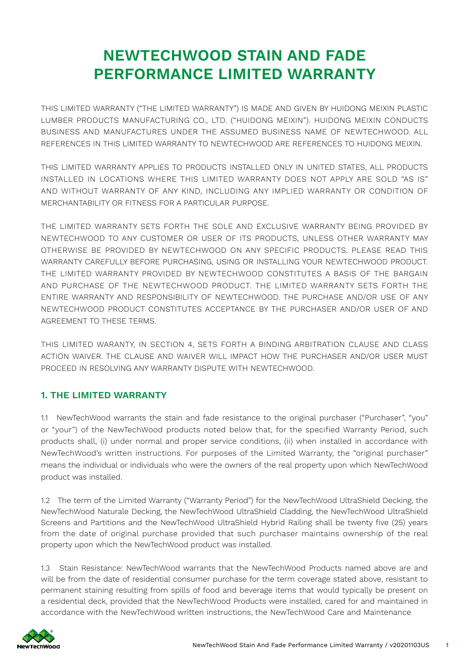# **NEWTECHWOOD STAIN AND FADE PERFORMANCE LIMITED WARRANTY**

THIS LIMITED WARRANTY ("THE LIMITED WARRANTY") IS MADE AND GIVEN BY HUIDONG MEIXIN PLASTIC LUMBER PRODUCTS MANUFACTURING CO., LTD. ("HUIDONG MEIXIN"). HUIDONG MEIXIN CONDUCTS BUSINESS AND MANUFACTURES UNDER THE ASSUMED BUSINESS NAME OF NEWTECHWOOD. ALL REFERENCES IN THIS LIMITED WARRANTY TO NEWTECHWOOD ARE REFERENCES TO HUIDONG MEIXIN.

THIS LIMITED WARRANTY APPLIES TO PRODUCTS INSTALLED ONLY IN UNITED STATES, ALL PRODUCTS INSTALLED IN LOCATIONS WHERE THIS LIMITED WARRANTY DOES NOT APPLY ARE SOLD "AS IS" AND WITHOUT WARRANTY OF ANY KIND, INCLUDING ANY IMPLIED WARRANTY OR CONDITION OF MERCHANTABILITY OR FITNESS FOR A PARTICULAR PURPOSE.

THE LIMITED WARRANTY SETS FORTH THE SOLE AND EXCLUSIVE WARRANTY BEING PROVIDED BY NEWTECHWOOD TO ANY CUSTOMER OR USER OF ITS PRODUCTS, UNLESS OTHER WARRANTY MAY OTHERWISE BE PROVIDED BY NEWTECHWOOD ON ANY SPECIFIC PRODUCTS. PLEASE READ THIS WARRANTY CAREFULLY BEFORE PURCHASING, USING OR INSTALLING YOUR NEWTECHWOOD PRODUCT. THE LIMITED WARRANTY PROVIDED BY NEWTECHWOOD CONSTITUTES A BASIS OF THE BARGAIN AND PURCHASE OF THE NEWTECHWOOD PRODUCT. THE LIMITED WARRANTY SETS FORTH THE ENTIRE WARRANTY AND RESPONSIBILITY OF NEWTECHWOOD. THE PURCHASE AND/OR USE OF ANY NEWTECHWOOD PRODUCT CONSTITUTES ACCEPTANCE BY THE PURCHASER AND/OR USER OF AND AGREEMENT TO THESE TERMS.

THIS LIMITED WARANTY, IN SECTION 4, SETS FORTH A BINDING ARBITRATION CLAUSE AND CLASS ACTION WAIVER. THE CLAUSE AND WAIVER WILL IMPACT HOW THE PURCHASER AND/OR USER MUST PROCEED IN RESOLVING ANY WARRANTY DISPUTE WITH NEWTECHWOOD.

## **1. THE LIMITED WARRANTY**

1.1 NewTechWood warrants the stain and fade resistance to the original purchaser ("Purchaser", "you" or "your") of the NewTechWood products noted below that, for the specified Warranty Period, such products shall, (i) under normal and proper service conditions, (ii) when installed in accordance with NewTechWood's written instructions. For purposes of the Limited Warranty, the "original purchaser" means the individual or individuals who were the owners of the real property upon which NewTechWood product was installed.

1.2 The term of the Limited Warranty ("Warranty Period") for the NewTechWood UltraShield Decking, the NewTechWood Naturale Decking, the NewTechWood UltraShield Cladding, the NewTechWood UltraShield Screens and Partitions and the NewTechWood UltraShield Hybrid Railing shall be twenty five (25) years from the date of original purchase provided that such purchaser maintains ownership of the real property upon which the NewTechWood product was installed.

1.3 Stain Resistance: NewTechWood warrants that the NewTechWood Products named above are and will be from the date of residential consumer purchase for the term coverage stated above, resistant to permanent staining resulting from spills of food and beverage items that would typically be present on a residential deck, provided that the NewTechWood Products were installed, cared for and maintained in accordance with the NewTechWood written instructions, the NewTechWood Care and Maintenance

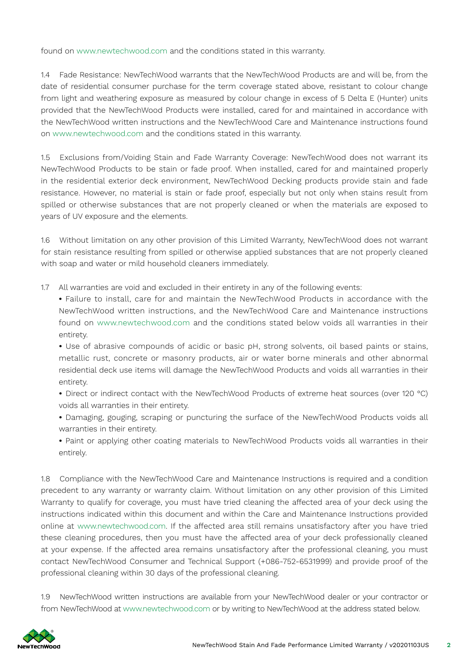found on www.newtechwood.com and the conditions stated in this warranty.

1.4 Fade Resistance: NewTechWood warrants that the NewTechWood Products are and will be, from the date of residential consumer purchase for the term coverage stated above, resistant to colour change from light and weathering exposure as measured by colour change in excess of 5 Delta E (Hunter) units provided that the NewTechWood Products were installed, cared for and maintained in accordance with the NewTechWood written instructions and the NewTechWood Care and Maintenance instructions found on www.newtechwood.com and the conditions stated in this warranty.

1.5 Exclusions from/Voiding Stain and Fade Warranty Coverage: NewTechWood does not warrant its NewTechWood Products to be stain or fade proof. When installed, cared for and maintained properly in the residential exterior deck environment, NewTechWood Decking products provide stain and fade resistance. However, no material is stain or fade proof, especially but not only when stains result from spilled or otherwise substances that are not properly cleaned or when the materials are exposed to years of UV exposure and the elements.

1.6 Without limitation on any other provision of this Limited Warranty, NewTechWood does not warrant for stain resistance resulting from spilled or otherwise applied substances that are not properly cleaned with soap and water or mild household cleaners immediately.

1.7 All warranties are void and excluded in their entirety in any of the following events:

**•** Failure to install, care for and maintain the NewTechWood Products in accordance with the NewTechWood written instructions, and the NewTechWood Care and Maintenance instructions found on www.newtechwood.com and the conditions stated below voids all warranties in their entirety.

**•** Use of abrasive compounds of acidic or basic pH, strong solvents, oil based paints or stains, metallic rust, concrete or masonry products, air or water borne minerals and other abnormal residential deck use items will damage the NewTechWood Products and voids all warranties in their entirety.

• Direct or indirect contact with the NewTechWood Products of extreme heat sources (over 120 °C) voids all warranties in their entirety.

**•** Damaging, gouging, scraping or puncturing the surface of the NewTechWood Products voids all warranties in their entirety.

**•** Paint or applying other coating materials to NewTechWood Products voids all warranties in their entirely.

1.8 Compliance with the NewTechWood Care and Maintenance Instructions is required and a condition precedent to any warranty or warranty claim. Without limitation on any other provision of this Limited Warranty to qualify for coverage, you must have tried cleaning the affected area of your deck using the instructions indicated within this document and within the Care and Maintenance Instructions provided online at www.newtechwood.com. If the affected area still remains unsatisfactory after you have tried these cleaning procedures, then you must have the affected area of your deck professionally cleaned at your expense. If the affected area remains unsatisfactory after the professional cleaning, you must contact NewTechWood Consumer and Technical Support (+086-752-6531999) and provide proof of the professional cleaning within 30 days of the professional cleaning.

1.9 NewTechWood written instructions are available from your NewTechWood dealer or your contractor or from NewTechWood at www.newtechwood.com or by writing to NewTechWood at the address stated below.

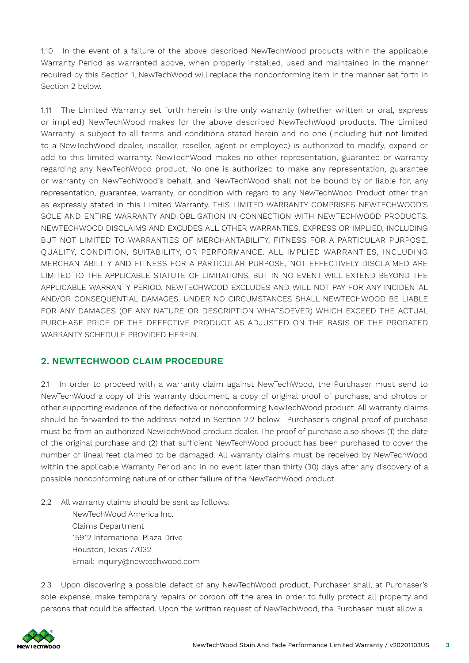1.10 In the event of a failure of the above described NewTechWood products within the applicable Warranty Period as warranted above, when properly installed, used and maintained in the manner required by this Section 1, NewTechWood will replace the nonconforming item in the manner set forth in Section 2 below.

1.11 The Limited Warranty set forth herein is the only warranty (whether written or oral, express or implied) NewTechWood makes for the above described NewTechWood products. The Limited Warranty is subject to all terms and conditions stated herein and no one (including but not limited to a NewTechWood dealer, installer, reseller, agent or employee) is authorized to modify, expand or add to this limited warranty. NewTechWood makes no other representation, guarantee or warranty regarding any NewTechWood product. No one is authorized to make any representation, guarantee or warranty on NewTechWood's behalf, and NewTechWood shall not be bound by or liable for, any representation, guarantee, warranty, or condition with regard to any NewTechWood Product other than as expressly stated in this Limited Warranty. THIS LIMITED WARRANTY COMPRISES NEWTECHWOOD'S SOLE AND ENTIRE WARRANTY AND OBLIGATION IN CONNECTION WITH NEWTECHWOOD PRODUCTS. NEWTECHWOOD DISCLAIMS AND EXCUDES ALL OTHER WARRANTIES, EXPRESS OR IMPLIED, INCLUDING BUT NOT LIMITED TO WARRANTIES OF MERCHANTABILITY, FITNESS FOR A PARTICULAR PURPOSE, QUALITY, CONDITION, SUITABILITY, OR PERFORMANCE. ALL IMPLIED WARRANTIES, INCLUDING MERCHANTABILITY AND FITNESS FOR A PARTICULAR PURPOSE, NOT EFFECTIVELY DISCLAIMED ARE LIMITED TO THE APPLICABLE STATUTE OF LIMITATIONS, BUT IN NO EVENT WILL EXTEND BEYOND THE APPLICABLE WARRANTY PERIOD. NEWTECHWOOD EXCLUDES AND WILL NOT PAY FOR ANY INCIDENTAL AND/OR CONSEQUENTIAL DAMAGES. UNDER NO CIRCUMSTANCES SHALL NEWTECHWOOD BE LIABLE FOR ANY DAMAGES (OF ANY NATURE OR DESCRIPTION WHATSOEVER) WHICH EXCEED THE ACTUAL PURCHASE PRICE OF THE DEFECTIVE PRODUCT AS ADJUSTED ON THE BASIS OF THE PRORATED WARRANTY SCHEDULE PROVIDED HEREIN.

## **2. NEWTECHWOOD CLAIM PROCEDURE**

2.1 In order to proceed with a warranty claim against NewTechWood, the Purchaser must send to NewTechWood a copy of this warranty document, a copy of original proof of purchase, and photos or other supporting evidence of the defective or nonconforming NewTechWood product. All warranty claims should be forwarded to the address noted in Section 2.2 below. Purchaser's original proof of purchase must be from an authorized NewTechWood product dealer. The proof of purchase also shows (1) the date of the original purchase and (2) that sufficient NewTechWood product has been purchased to cover the number of lineal feet claimed to be damaged. All warranty claims must be received by NewTechWood within the applicable Warranty Period and in no event later than thirty (30) days after any discovery of a possible nonconforming nature of or other failure of the NewTechWood product.

2.2 All warranty claims should be sent as follows:

NewTechWood America Inc. Claims Department 15912 International Plaza Drive Houston, Texas 77032 Email: inquiry@newtechwood.com

2.3 Upon discovering a possible defect of any NewTechWood product, Purchaser shall, at Purchaser's sole expense, make temporary repairs or cordon off the area in order to fully protect all property and persons that could be affected. Upon the written request of NewTechWood, the Purchaser must allow a

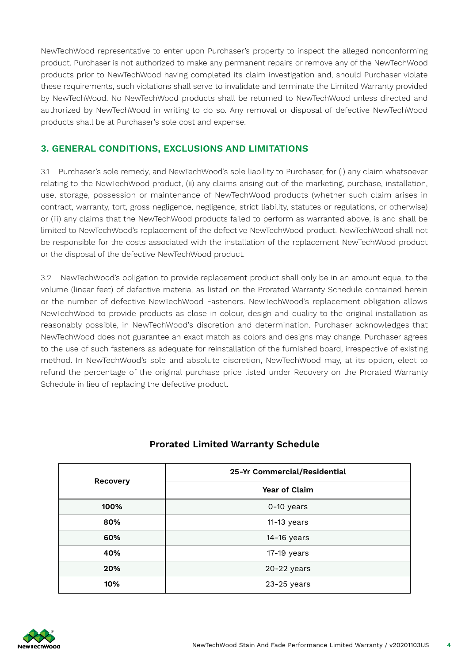NewTechWood representative to enter upon Purchaser's property to inspect the alleged nonconforming product. Purchaser is not authorized to make any permanent repairs or remove any of the NewTechWood products prior to NewTechWood having completed its claim investigation and, should Purchaser violate these requirements, such violations shall serve to invalidate and terminate the Limited Warranty provided by NewTechWood. No NewTechWood products shall be returned to NewTechWood unless directed and authorized by NewTechWood in writing to do so. Any removal or disposal of defective NewTechWood products shall be at Purchaser's sole cost and expense.

#### **3. GENERAL CONDITIONS, EXCLUSIONS AND LIMITATIONS**

3.1 Purchaser's sole remedy, and NewTechWood's sole liability to Purchaser, for (i) any claim whatsoever relating to the NewTechWood product, (ii) any claims arising out of the marketing, purchase, installation, use, storage, possession or maintenance of NewTechWood products (whether such claim arises in contract, warranty, tort, gross negligence, negligence, strict liability, statutes or regulations, or otherwise) or (iii) any claims that the NewTechWood products failed to perform as warranted above, is and shall be limited to NewTechWood's replacement of the defective NewTechWood product. NewTechWood shall not be responsible for the costs associated with the installation of the replacement NewTechWood product or the disposal of the defective NewTechWood product.

3.2 NewTechWood's obligation to provide replacement product shall only be in an amount equal to the volume (linear feet) of defective material as listed on the Prorated Warranty Schedule contained herein or the number of defective NewTechWood Fasteners. NewTechWood's replacement obligation allows NewTechWood to provide products as close in colour, design and quality to the original installation as reasonably possible, in NewTechWood's discretion and determination. Purchaser acknowledges that NewTechWood does not guarantee an exact match as colors and designs may change. Purchaser agrees to the use of such fasteners as adequate for reinstallation of the furnished board, irrespective of existing method. In NewTechWood's sole and absolute discretion, NewTechWood may, at its option, elect to refund the percentage of the original purchase price listed under Recovery on the Prorated Warranty Schedule in lieu of replacing the defective product.

| <b>Recovery</b> | 25-Yr Commercial/Residential |
|-----------------|------------------------------|
|                 | Year of Claim                |
| 100%            | 0-10 years                   |
| 80%             | $11-13$ years                |
| 60%             | 14-16 years                  |
| 40%             | 17-19 years                  |
| 20%             | 20-22 years                  |
| 10%             | 23-25 years                  |

## **Prorated Limited Warranty Schedule**

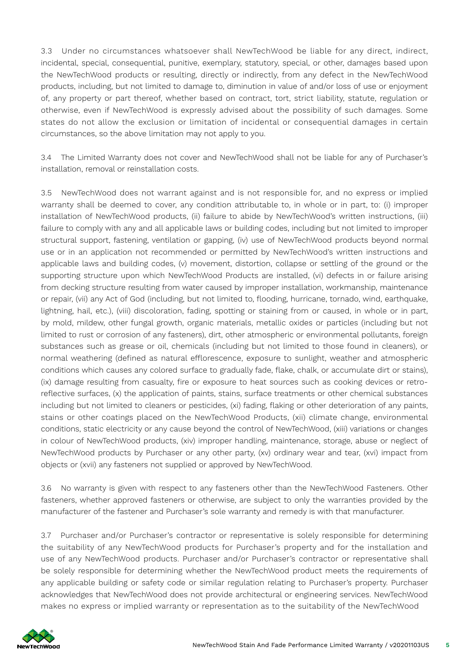3.3 Under no circumstances whatsoever shall NewTechWood be liable for any direct, indirect, incidental, special, consequential, punitive, exemplary, statutory, special, or other, damages based upon the NewTechWood products or resulting, directly or indirectly, from any defect in the NewTechWood products, including, but not limited to damage to, diminution in value of and/or loss of use or enjoyment of, any property or part thereof, whether based on contract, tort, strict liability, statute, regulation or otherwise, even if NewTechWood is expressly advised about the possibility of such damages. Some states do not allow the exclusion or limitation of incidental or consequential damages in certain circumstances, so the above limitation may not apply to you.

3.4 The Limited Warranty does not cover and NewTechWood shall not be liable for any of Purchaser's installation, removal or reinstallation costs.

3.5 NewTechWood does not warrant against and is not responsible for, and no express or implied warranty shall be deemed to cover, any condition attributable to, in whole or in part, to: (i) improper installation of NewTechWood products, (ii) failure to abide by NewTechWood's written instructions, (iii) failure to comply with any and all applicable laws or building codes, including but not limited to improper structural support, fastening, ventilation or gapping, (iv) use of NewTechWood products beyond normal use or in an application not recommended or permitted by NewTechWood's written instructions and applicable laws and building codes, (v) movement, distortion, collapse or settling of the ground or the supporting structure upon which NewTechWood Products are installed, (vi) defects in or failure arising from decking structure resulting from water caused by improper installation, workmanship, maintenance or repair, (vii) any Act of God (including, but not limited to, flooding, hurricane, tornado, wind, earthquake, lightning, hail, etc.), (viii) discoloration, fading, spotting or staining from or caused, in whole or in part, by mold, mildew, other fungal growth, organic materials, metallic oxides or particles (including but not limited to rust or corrosion of any fasteners), dirt, other atmospheric or environmental pollutants, foreign substances such as grease or oil, chemicals (including but not limited to those found in cleaners), or normal weathering (defined as natural efflorescence, exposure to sunlight, weather and atmospheric conditions which causes any colored surface to gradually fade, flake, chalk, or accumulate dirt or stains), (ix) damage resulting from casualty, fire or exposure to heat sources such as cooking devices or retroreflective surfaces, (x) the application of paints, stains, surface treatments or other chemical substances including but not limited to cleaners or pesticides, (xi) fading, flaking or other deterioration of any paints, stains or other coatings placed on the NewTechWood Products, (xii) climate change, environmental conditions, static electricity or any cause beyond the control of NewTechWood, (xiii) variations or changes in colour of NewTechWood products, (xiv) improper handling, maintenance, storage, abuse or neglect of NewTechWood products by Purchaser or any other party, (xv) ordinary wear and tear, (xvi) impact from objects or (xvii) any fasteners not supplied or approved by NewTechWood.

3.6 No warranty is given with respect to any fasteners other than the NewTechWood Fasteners. Other fasteners, whether approved fasteners or otherwise, are subject to only the warranties provided by the manufacturer of the fastener and Purchaser's sole warranty and remedy is with that manufacturer.

3.7 Purchaser and/or Purchaser's contractor or representative is solely responsible for determining the suitability of any NewTechWood products for Purchaser's property and for the installation and use of any NewTechWood products. Purchaser and/or Purchaser's contractor or representative shall be solely responsible for determining whether the NewTechWood product meets the requirements of any applicable building or safety code or similar regulation relating to Purchaser's property. Purchaser acknowledges that NewTechWood does not provide architectural or engineering services. NewTechWood makes no express or implied warranty or representation as to the suitability of the NewTechWood

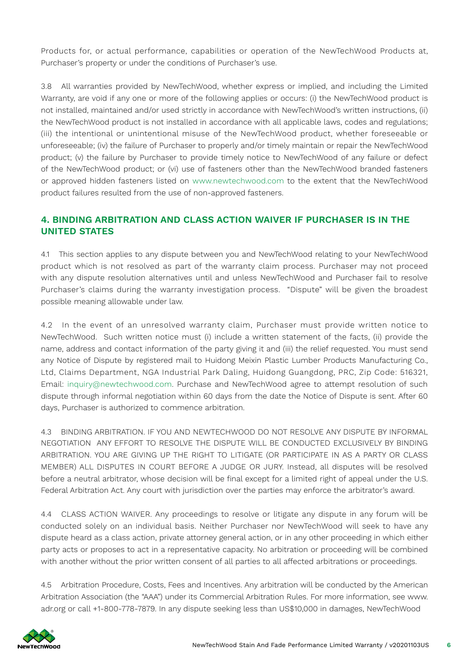Products for, or actual performance, capabilities or operation of the NewTechWood Products at, Purchaser's property or under the conditions of Purchaser's use.

3.8 All warranties provided by NewTechWood, whether express or implied, and including the Limited Warranty, are void if any one or more of the following applies or occurs: (i) the NewTechWood product is not installed, maintained and/or used strictly in accordance with NewTechWood's written instructions, (ii) the NewTechWood product is not installed in accordance with all applicable laws, codes and regulations; (iii) the intentional or unintentional misuse of the NewTechWood product, whether foreseeable or unforeseeable; (iv) the failure of Purchaser to properly and/or timely maintain or repair the NewTechWood product; (v) the failure by Purchaser to provide timely notice to NewTechWood of any failure or defect of the NewTechWood product; or (vi) use of fasteners other than the NewTechWood branded fasteners or approved hidden fasteners listed on www.newtechwood.com to the extent that the NewTechWood product failures resulted from the use of non-approved fasteners.

### **4. BINDING ARBITRATION AND CLASS ACTION WAIVER IF PURCHASER IS IN THE UNITED STATES**

4.1 This section applies to any dispute between you and NewTechWood relating to your NewTechWood product which is not resolved as part of the warranty claim process. Purchaser may not proceed with any dispute resolution alternatives until and unless NewTechWood and Purchaser fail to resolve Purchaser's claims during the warranty investigation process. "Dispute" will be given the broadest possible meaning allowable under law.

4.2 In the event of an unresolved warranty claim, Purchaser must provide written notice to NewTechWood. Such written notice must (i) include a written statement of the facts, (ii) provide the name, address and contact information of the party giving it and (iii) the relief requested. You must send any Notice of Dispute by registered mail to Huidong Meixin Plastic Lumber Products Manufacturing Co., Ltd, Claims Department, NGA Industrial Park Daling, Huidong Guangdong, PRC, Zip Code: 516321, Email: inquiry@newtechwood.com. Purchase and NewTechWood agree to attempt resolution of such dispute through informal negotiation within 60 days from the date the Notice of Dispute is sent. After 60 days, Purchaser is authorized to commence arbitration.

4.3 BINDING ARBITRATION. IF YOU AND NEWTECHWOOD DO NOT RESOLVE ANY DISPUTE BY INFORMAL NEGOTIATION ANY EFFORT TO RESOLVE THE DISPUTE WILL BE CONDUCTED EXCLUSIVELY BY BINDING ARBITRATION. YOU ARE GIVING UP THE RIGHT TO LITIGATE (OR PARTICIPATE IN AS A PARTY OR CLASS MEMBER) ALL DISPUTES IN COURT BEFORE A JUDGE OR JURY. Instead, all disputes will be resolved before a neutral arbitrator, whose decision will be final except for a limited right of appeal under the U.S. Federal Arbitration Act. Any court with jurisdiction over the parties may enforce the arbitrator's award.

4.4 CLASS ACTION WAIVER. Any proceedings to resolve or litigate any dispute in any forum will be conducted solely on an individual basis. Neither Purchaser nor NewTechWood will seek to have any dispute heard as a class action, private attorney general action, or in any other proceeding in which either party acts or proposes to act in a representative capacity. No arbitration or proceeding will be combined with another without the prior written consent of all parties to all affected arbitrations or proceedings.

4.5 Arbitration Procedure, Costs, Fees and Incentives. Any arbitration will be conducted by the American Arbitration Association (the "AAA") under its Commercial Arbitration Rules. For more information, see www. adr.org or call +1-800-778-7879. In any dispute seeking less than US\$10,000 in damages, NewTechWood